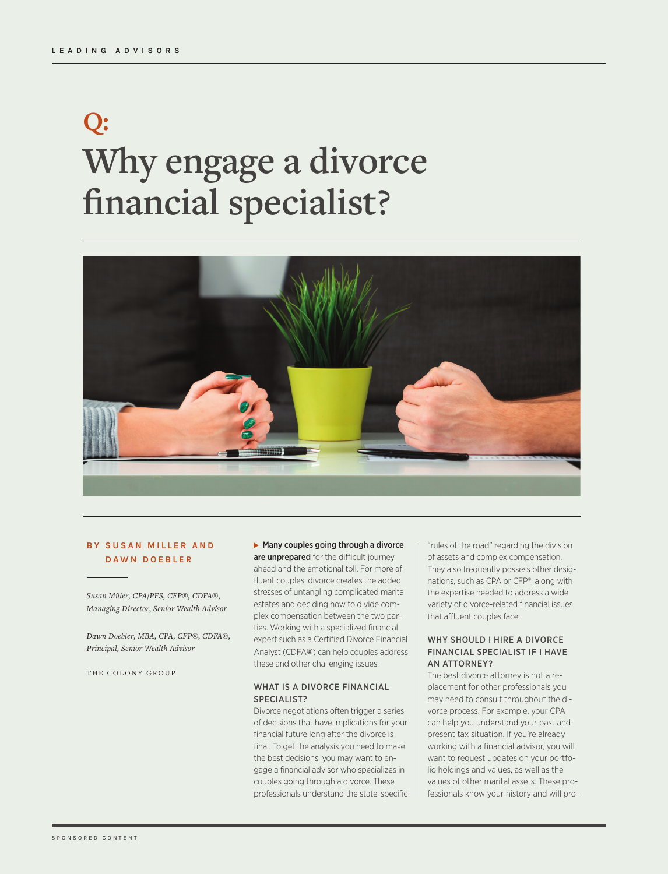# **Q: Why engage a divorce financial specialist?**



### **BY SUSAN MILLER AND DAWN DOEBLER**

*Susan Miller, CPA/PFS, CFP®, CDFA®, Managing Director, Senior Wealth Advisor*

*Dawn Doebler, MBA, CPA, CFP®, CDFA®, Principal, Senior Wealth Advisor*

THE COLONY GROUP

## $\blacktriangleright$  Many couples going through a divorce

are unprepared for the difficult journey ahead and the emotional toll. For more affluent couples, divorce creates the added stresses of untangling complicated marital estates and deciding how to divide complex compensation between the two parties. Working with a specialized financial expert such as a Certified Divorce Financial Analyst (CDFA*®*) can help couples address these and other challenging issues.

#### WHAT IS A DIVORCE FINANCIAL SPECIALIST?

Divorce negotiations often trigger a series of decisions that have implications for your financial future long after the divorce is final. To get the analysis you need to make the best decisions, you may want to engage a financial advisor who specializes in couples going through a divorce. These professionals understand the state-specific "rules of the road" regarding the division of assets and complex compensation. They also frequently possess other designations, such as CPA or CFP®, along with the expertise needed to address a wide variety of divorce-related financial issues that affluent couples face.

### WHY SHOULD I HIRE A DIVORCE FINANCIAL SPECIALIST IF I HAVE AN ATTORNEY?

The best divorce attorney is not a replacement for other professionals you may need to consult throughout the divorce process. For example, your CPA can help you understand your past and present tax situation. If you're already working with a financial advisor, you will want to request updates on your portfolio holdings and values, as well as the values of other marital assets. These professionals know your history and will pro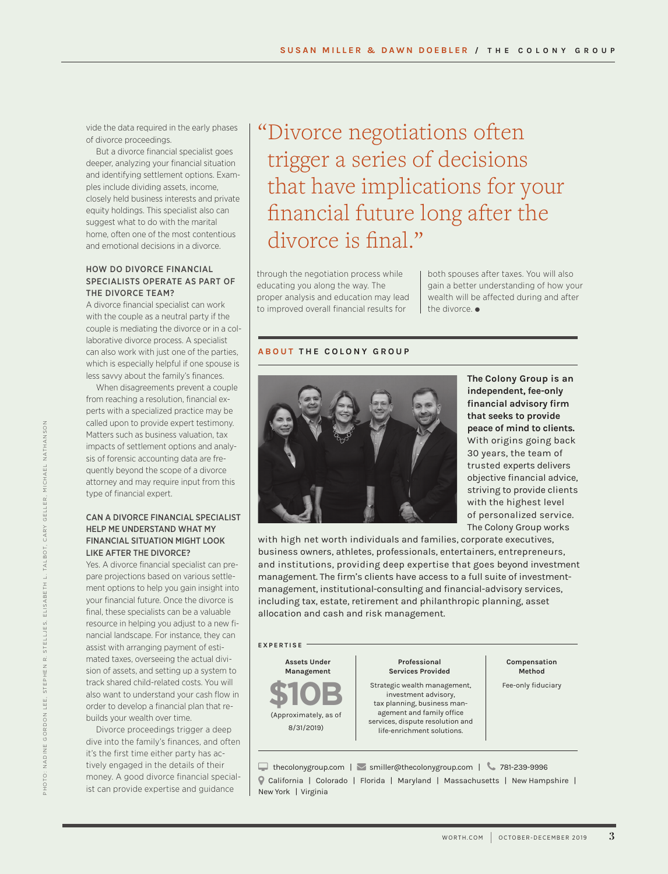vide the data required in the early phases of divorce proceedings.

But a divorce financial specialist goes deeper, analyzing your financial situation and identifying settlement options. Examples include dividing assets, income, closely held business interests and private equity holdings. This specialist also can suggest what to do with the marital home, often one of the most contentious and emotional decisions in a divorce.

### HOW DO DIVORCE FINANCIAL SPECIALISTS OPERATE AS PART OF THE DIVORCE TEAM?

A divorce financial specialist can work with the couple as a neutral party if the couple is mediating the divorce or in a collaborative divorce process. A specialist can also work with just one of the parties, which is especially helpful if one spouse is less savvy about the family's finances.

When disagreements prevent a couple from reaching a resolution, financial experts with a specialized practice may be called upon to provide expert testimony. Matters such as business valuation, tax impacts of settlement options and analysis of forensic accounting data are frequently beyond the scope of a divorce attorney and may require input from this type of financial expert.

#### CAN A DIVORCE FINANCIAL SPECIALIST HELP ME UNDERSTAND WHAT MY FINANCIAL SITUATION MIGHT LOOK LIKE AFTER THE DIVORCE?

Yes. A divorce financial specialist can prepare projections based on various settlement options to help you gain insight into your financial future. Once the divorce is final, these specialists can be a valuable resource in helping you adjust to a new financial landscape. For instance, they can assist with arranging payment of estimated taxes, overseeing the actual division of assets, and setting up a system to track shared child-related costs. You will also want to understand your cash flow in order to develop a financial plan that rebuilds your wealth over time.

Divorce proceedings trigger a deep dive into the family's finances, and often it's the first time either party has actively engaged in the details of their money. A good divorce financial specialist can provide expertise and guidance

"Divorce negotiations often trigger a series of decisions that have implications for your financial future long after the divorce is final."

through the negotiation process while educating you along the way. The proper analysis and education may lead to improved overall financial results for

both spouses after taxes. You will also gain a better understanding of how your wealth will be affected during and after the divorce.  $\bullet$ 

#### **ABOUT THE COLONY GROUP**



**The Colony Group is an independent, fee-only financial advisory firm that seeks to provide peace of mind to clients.**  With origins going back 30 years, the team of trusted experts delivers objective financial advice, striving to provide clients with the highest level of personalized service. The Colony Group works

with high net worth individuals and families, corporate executives, business owners, athletes, professionals, entertainers, entrepreneurs, and institutions, providing deep expertise that goes beyond investment management. The firm's clients have access to a full suite of investmentmanagement, institutional-consulting and financial-advisory services, including tax, estate, retirement and philanthropic planning, asset allocation and cash and risk management.

#### **EXPERTISE**



 thecolonygroup.com | smiller@thecolonygroup.com | 781-239-9996 California | Colorado | Florida | Maryland | Massachusetts | New Hampshire | New York | Virginia